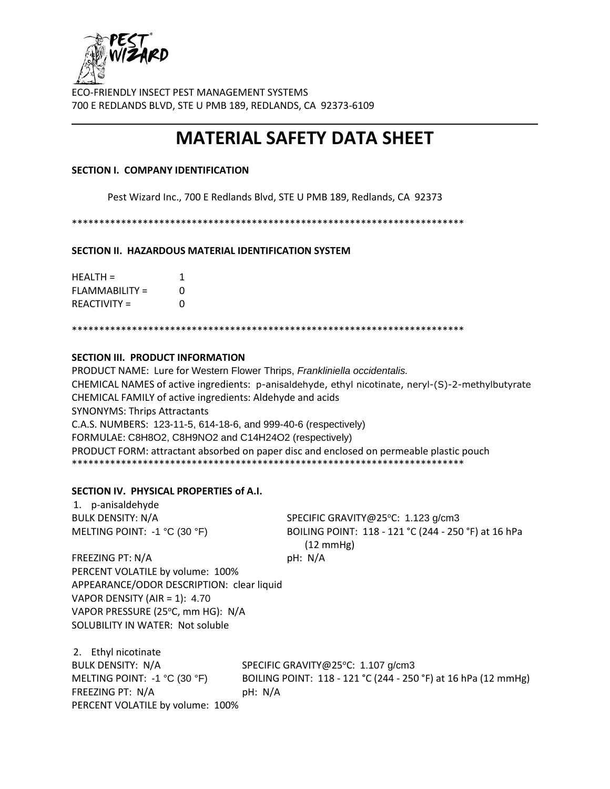

# **MATERIAL SAFETY DATA SHEET**

### **SECTION I. COMPANY IDENTIFICATION**

Pest Wizard Inc., 700 E Redlands Blvd, STE U PMB 189, Redlands, CA 92373

\*\*\*\*\*\*\*\*\*\*\*\*\*\*\*\*\*\*\*\*\*\*\*\*\*\*\*\*\*\*\*\*\*\*\*\*\*\*\*\*\*\*\*\*\*\*\*\*\*\*\*\*\*\*\*\*\*\*\*\*\*\*\*\*\*\*\*\*\*\*\*\*

**SECTION II. HAZARDOUS MATERIAL IDENTIFICATION SYSTEM**

| $HFAITH =$          | 1 |
|---------------------|---|
| FLAMMABILITY =      | O |
| <b>REACTIVITY =</b> | O |

\*\*\*\*\*\*\*\*\*\*\*\*\*\*\*\*\*\*\*\*\*\*\*\*\*\*\*\*\*\*\*\*\*\*\*\*\*\*\*\*\*\*\*\*\*\*\*\*\*\*\*\*\*\*\*\*\*\*\*\*\*\*\*\*\*\*\*\*\*\*\*\*

# **SECTION III. PRODUCT INFORMATION**

PRODUCT NAME: Lure for Western Flower Thrips, *Frankliniella occidentalis.* CHEMICAL NAMES of active ingredients: p-anisaldehyde, ethyl nicotinate, neryl-(S)-2-methylbutyrate CHEMICAL FAMILY of active ingredients: Aldehyde and acids SYNONYMS: Thrips Attractants C.A.S. NUMBERS: 123-11-5, 614-18-6, and 999-40-6 (respectively) FORMULAE: C8H8O2, C8H9NO2 and C14H24O2 (respectively) PRODUCT FORM: attractant absorbed on paper disc and enclosed on permeable plastic pouch \*\*\*\*\*\*\*\*\*\*\*\*\*\*\*\*\*\*\*\*\*\*\*\*\*\*\*\*\*\*\*\*\*\*\*\*\*\*\*\*\*\*\*\*\*\*\*\*\*\*\*\*\*\*\*\*\*\*\*\*\*\*\*\*\*\*\*\*\*\*\*\*

#### **SECTION IV. PHYSICAL PROPERTIES of A.I.**

1. p-anisaldehyde

BULK DENSITY: N/A SPECIFIC GRAVITY@25°C: 1.123 g/cm3 MELTING POINT: -1 °C (30 °F) BOILING POINT: 118 - 121 °C (244 - 250 °F) at 16 hPa (12 mmHg)

FREEZING PT: N/A pH: N/A PERCENT VOLATILE by volume: 100% APPEARANCE/ODOR DESCRIPTION: clear liquid VAPOR DENSITY (AIR = 1): 4.70 VAPOR PRESSURE (25°C, mm HG): N/A SOLUBILITY IN WATER: Not soluble

2. Ethyl nicotinate BULK DENSITY: N/A SPECIFIC GRAVITY@25°C: 1.107 g/cm3 MELTING POINT: -1 °C (30 °F) BOILING POINT: 118 - 121 °C (244 - 250 °F) at 16 hPa (12 mmHg) FREEZING PT: N/A pH: N/A PERCENT VOLATILE by volume: 100%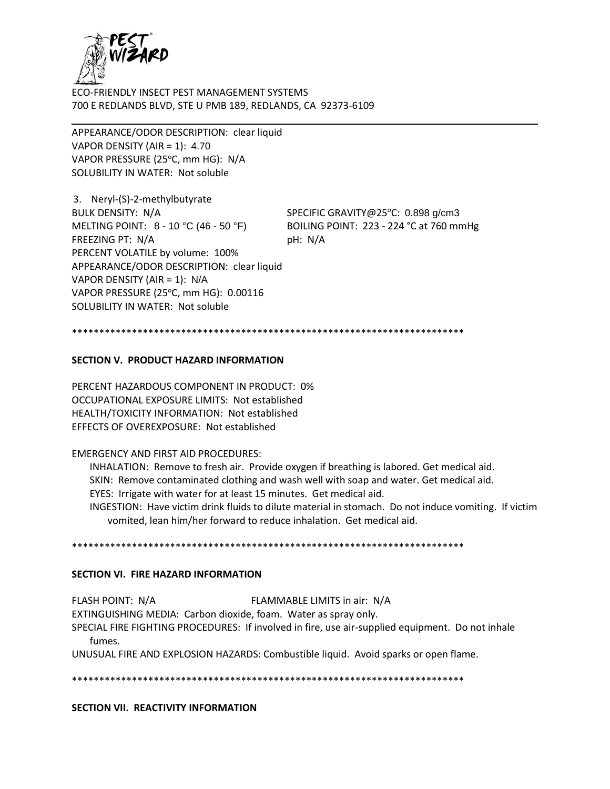

APPEARANCE/ODOR DESCRIPTION: clear liquid VAPOR DENSITY (AIR = 1): 4.70 VAPOR PRESSURE (25°C, mm HG): N/A SOLUBILITY IN WATER: Not soluble

3. Neryl-(S)-2-methylbutyrate BULK DENSITY: N/A SPECIFIC GRAVITY@25°C: 0.898 g/cm3 MELTING POINT: 8 - 10 °C (46 - 50 °F) BOILING POINT: 223 - 224 °C at 760 mmHg FREEZING PT: N/A pH: N/A PERCENT VOLATILE by volume: 100% APPEARANCE/ODOR DESCRIPTION: clear liquid VAPOR DENSITY (AIR = 1): N/A VAPOR PRESSURE (25°C, mm HG): 0.00116 SOLUBILITY IN WATER: Not soluble

\*\*\*\*\*\*\*\*\*\*\*\*\*\*\*\*\*\*\*\*\*\*\*\*\*\*\*\*\*\*\*\*\*\*\*\*\*\*\*\*\*\*\*\*\*\*\*\*\*\*\*\*\*\*\*\*\*\*\*\*\*\*\*\*\*\*\*\*\*\*\*\*

#### **SECTION V. PRODUCT HAZARD INFORMATION**

PERCENT HAZARDOUS COMPONENT IN PRODUCT: 0% OCCUPATIONAL EXPOSURE LIMITS: Not established HEALTH/TOXICITY INFORMATION: Not established EFFECTS OF OVEREXPOSURE: Not established

#### EMERGENCY AND FIRST AID PROCEDURES:

INHALATION: Remove to fresh air. Provide oxygen if breathing is labored. Get medical aid. SKIN: Remove contaminated clothing and wash well with soap and water. Get medical aid. EYES: Irrigate with water for at least 15 minutes. Get medical aid. INGESTION: Have victim drink fluids to dilute material in stomach. Do not induce vomiting. If victim vomited, lean him/her forward to reduce inhalation. Get medical aid.

\*\*\*\*\*\*\*\*\*\*\*\*\*\*\*\*\*\*\*\*\*\*\*\*\*\*\*\*\*\*\*\*\*\*\*\*\*\*\*\*\*\*\*\*\*\*\*\*\*\*\*\*\*\*\*\*\*\*\*\*\*\*\*\*\*\*\*\*\*\*\*\*

#### **SECTION VI. FIRE HAZARD INFORMATION**

FLASH POINT: N/A FLAMMABLE LIMITS in air: N/A EXTINGUISHING MEDIA: Carbon dioxide, foam. Water as spray only. SPECIAL FIRE FIGHTING PROCEDURES: If involved in fire, use air-supplied equipment. Do not inhale fumes. UNUSUAL FIRE AND EXPLOSION HAZARDS: Combustible liquid. Avoid sparks or open flame.

\*\*\*\*\*\*\*\*\*\*\*\*\*\*\*\*\*\*\*\*\*\*\*\*\*\*\*\*\*\*\*\*\*\*\*\*\*\*\*\*\*\*\*\*\*\*\*\*\*\*\*\*\*\*\*\*\*\*\*\*\*\*\*\*\*\*\*\*\*\*\*\*

**SECTION VII. REACTIVITY INFORMATION**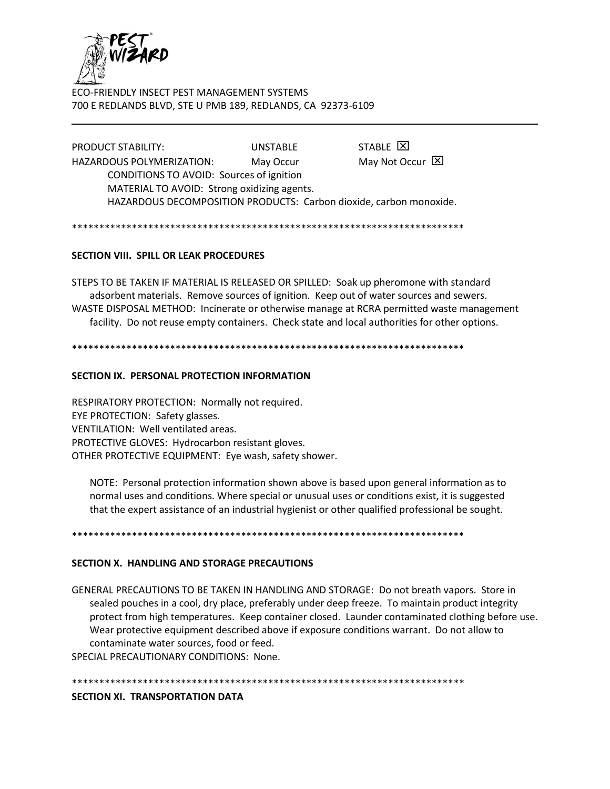

STABLE E PRODUCT STABILITY: UNSTABLE May Not Occur X **HAZARDOUS POLYMERIZATION:** May Occur CONDITIONS TO AVOID: Sources of ignition MATERIAL TO AVOID: Strong oxidizing agents. HAZARDOUS DECOMPOSITION PRODUCTS: Carbon dioxide, carbon monoxide.

# **SECTION VIII. SPILL OR LEAK PROCEDURES**

STEPS TO BE TAKEN IF MATERIAL IS RELEASED OR SPILLED: Soak up pheromone with standard adsorbent materials. Remove sources of ignition. Keep out of water sources and sewers. WASTE DISPOSAL METHOD: Incinerate or otherwise manage at RCRA permitted waste management facility. Do not reuse empty containers. Check state and local authorities for other options.

#### SECTION IX. PERSONAL PROTECTION INFORMATION

RESPIRATORY PROTECTION: Normally not required. EYE PROTECTION: Safety glasses. VENTILATION: Well ventilated areas. PROTECTIVE GLOVES: Hydrocarbon resistant gloves. OTHER PROTECTIVE EQUIPMENT: Eye wash, safety shower.

NOTE: Personal protection information shown above is based upon general information as to normal uses and conditions. Where special or unusual uses or conditions exist, it is suggested that the expert assistance of an industrial hygienist or other qualified professional be sought.

#### SECTION X. HANDLING AND STORAGE PRECAUTIONS

GENERAL PRECAUTIONS TO BE TAKEN IN HANDLING AND STORAGE: Do not breath vapors. Store in sealed pouches in a cool, dry place, preferably under deep freeze. To maintain product integrity protect from high temperatures. Keep container closed. Launder contaminated clothing before use. Wear protective equipment described above if exposure conditions warrant. Do not allow to contaminate water sources, food or feed.

SPECIAL PRECAUTIONARY CONDITIONS: None.

SECTION XI. TRANSPORTATION DATA